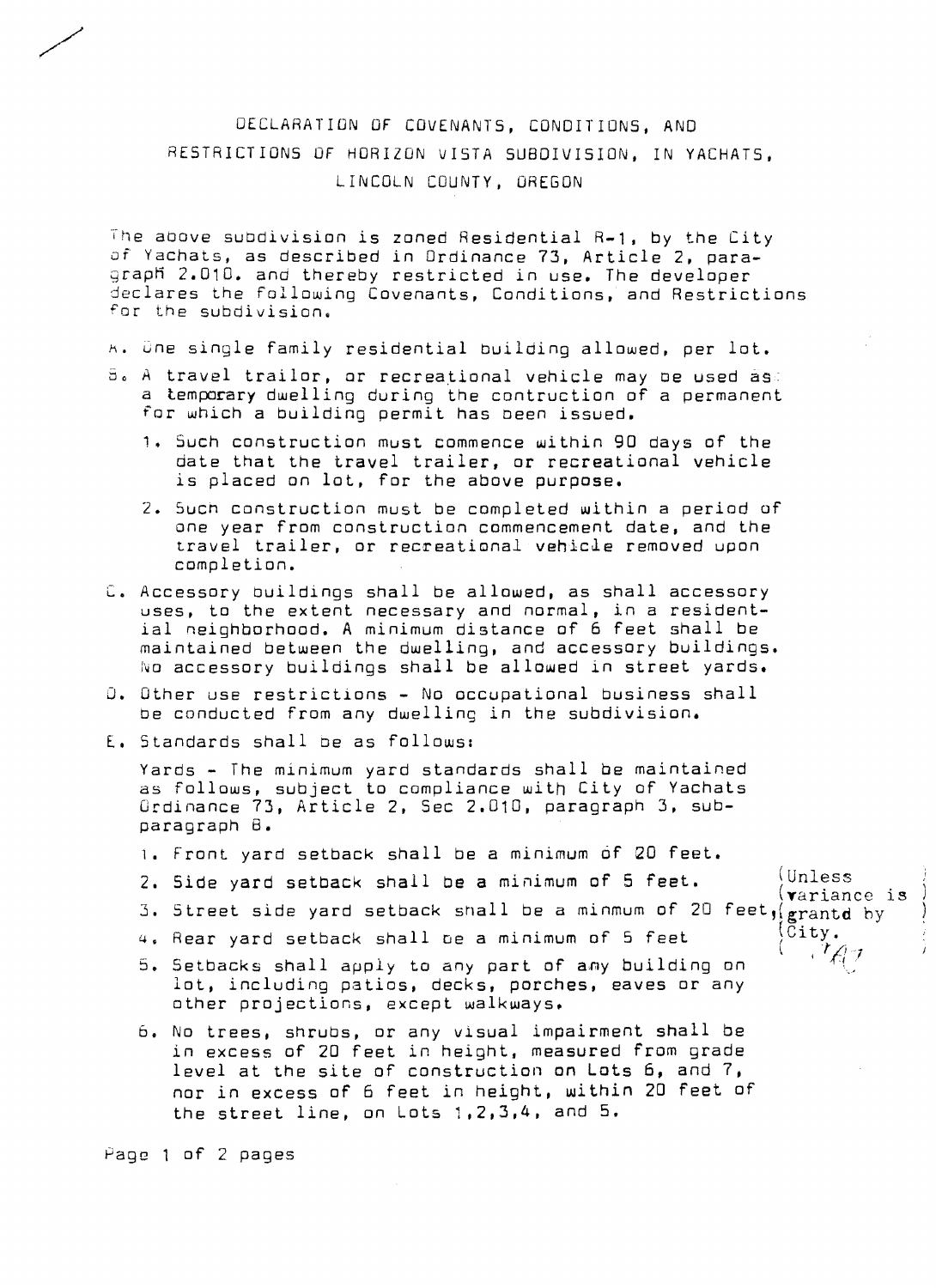## DECLARATION OF COVENANTS, CONDITIONS, AND RESTRICTIONS OF HORIZON VISTA SUBDIVISION, IN YACHATS, LINCOLN COUNTY, OREGON

The above subdivision is zoned Residential R-1, by the City of Yachats, as described in Ordinance 73, Article 2, para graph 2.010. and thereby restricted in use. The developer declares the following Covenants, Conditions, and Restrictions for the subdivision.

- $A.$  One single family residential building allowed, per lot.
- $5.$  A travel trailor, or recreational vehicle may be used  $\tilde{a}s$ . a temporary dwelling during the contruction of a permanent for which a building permit has oeen issued.
	- 1. 5uch construction must commence within 90 days of the date that the travel trailer, or recreational vehicle is placed on lot, for the above purpose.
	- 2. Such construction must be completed within a period of one year from construction commencement date, and the travel trailer, or recreational vehicle removed upon completion.
- C. Accessory buildings shall be allowed, as shall accessory uses, to the extent necessary and normal, in a resident *ial* neighborhood. A minimum distance of 6 feet shall be maintained between the dwelling, and accessory buildings. No accessory buildings shall be allowed in street yards.
- O. Other use restrictions No occupational business shall De conducted from any dwelling in the subdivision.
- E. Standards shall be as follows:

Yards - The minimum yard standards shall be maintained as follows, subject to compliance with City of Yachats Ordinance 73, Article 2, Sec 2.010, paragraph 3, sub paragraph B.

- 1. Front yard setback shall be a minimum of 20 feet.
- 2. Side yard setback shall be a minimum of 5 feet. (Unless (Villess)
- 3. Street side yard setback snall be a minmum of 20 feet, grantd by
- 4. Rear yard setback shall be a minimum of 5 feet
- 5. Setbacks shall apply to any part of any building on lot, including patios, decks, porches, eaves or any other projections, except walkways.
- 6. No trees, shrubs, or any visual impairment shall be in excess of 20 feet in height, measured from grade level at the site of construction on Lots 6, and 7, nor in excess of 6 feet in height, within 20 feet of the street line, on Lots  $1, 2, 3, 4$ , and  $5.$

Page 1 of 2 pages

/